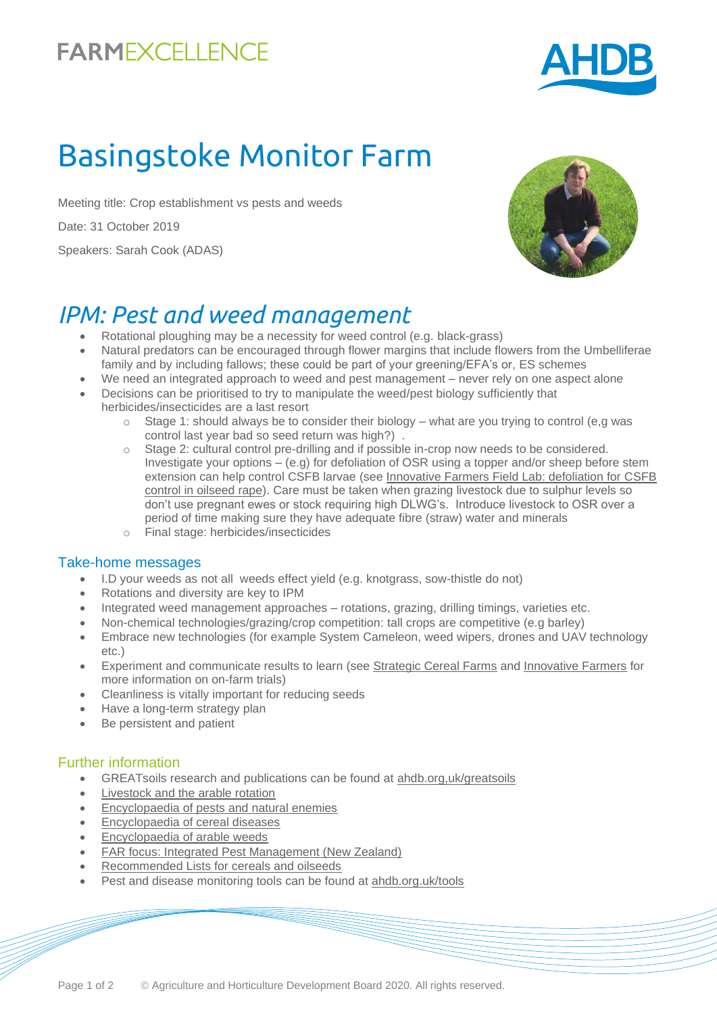

# Basingstoke Monitor Farm

Meeting title: Crop establishment vs pests and weeds

Date: 31 October 2019

Speakers: Sarah Cook (ADAS)



# *IPM: Pest and weed management*

- Rotational ploughing may be a necessity for weed control (e.g. black-grass)
- Natural predators can be encouraged through flower margins that include flowers from the Umbelliferae family and by including fallows; these could be part of your greening/EFA's or, ES schemes
- We need an integrated approach to weed and pest management never rely on one aspect alone
- Decisions can be prioritised to try to manipulate the weed/pest biology sufficiently that herbicides/insecticides are a last resort
	- $\circ$  Stage 1: should always be to consider their biology what are you trying to control (e.g was control last year bad so seed return was high?)
	- Stage 2: cultural control pre-drilling and if possible in-crop now needs to be considered. Investigate your options – (e.g) for defoliation of OSR using a topper and/or sheep before stem extension can help control CSFB larvae (see [Innovative Farmers Field Lab: defoliation for CSFB](https://innovativefarmers.org/field-lab/?id=6f753316-b12e-e911-816f-005056ad0bd4)  [control in oilseed rape\)](https://innovativefarmers.org/field-lab/?id=6f753316-b12e-e911-816f-005056ad0bd4). Care must be taken when grazing livestock due to sulphur levels so don't use pregnant ewes or stock requiring high DLWG's. Introduce livestock to OSR over a period of time making sure they have adequate fibre (straw) water and minerals
	- o Final stage: herbicides/insecticides

#### Take-home messages

- I.D your weeds as not all weeds effect yield (e.g. knotgrass, sow-thistle do not)
- Rotations and diversity are key to IPM
- Integrated weed management approaches rotations, grazing, drilling timings, varieties etc.
- Non-chemical technologies/grazing/crop competition: tall crops are competitive (e.g barley)
- Embrace new technologies (for example System Cameleon, weed wipers, drones and UAV technology etc.)
- Experiment and communicate results to learn (see [Strategic Cereal Farms](https://ahdb.org.uk/farm-excellence/lodgefarm) and [Innovative Farmers](https://innovativefarmers.org/) for more information on on-farm trials)
- Cleanliness is vitally important for reducing seeds
- Have a long-term strategy plan
- Be persistent and patient

#### Further information

- GREATsoils research and publications can be found at [ahdb.org,uk/greatsoils](https://ahdb.org.uk/greatsoils)
- [Livestock and the arable rotation](https://ahdb.org.uk/livestock-and-the-arable-rotation)
- [Encyclopaedia of pests and natural enemies](https://ahdb.org.uk/pests)
- [Encyclopaedia of cereal diseases](https://ahdb.org.uk/encyclopaedia-of-cereal-diseases)
- [Encyclopaedia of arable weeds](https://ahdb.org.uk/knowledge-library/encyclopaedia-of-arable-weeds)
- [FAR focus: Integrated Pest Management \(New Zealand\)](https://www.far.org.nz/assets/files/uploads/FAR_Focus_12_-_IPM_-_Final.pdf)
- [Recommended Lists for cereals and oilseeds](https://ahdb.org.uk/rl)
- Pest and disease monitoring tools can be found at [ahdb.org.uk/tools](https://ahdb.org.uk/tools)